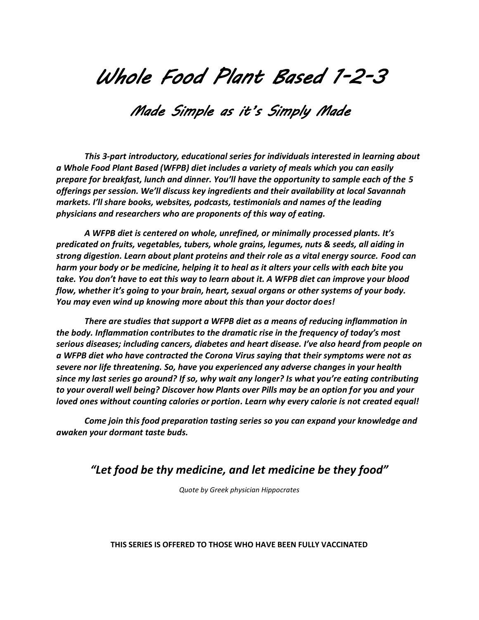## *Whole Food Plant Based 1-2-3*

## *Made Simple as it's Simply Made*

*This 3-part introductory, educational series for individuals interested in learning about a Whole Food Plant Based (WFPB) diet includes a variety of meals which you can easily prepare for breakfast, lunch and dinner. You'll have the opportunity to sample each of the 5 offerings per session. We'll discuss key ingredients and their availability at local Savannah markets. I'll share books, websites, podcasts, testimonials and names of the leading physicians and researchers who are proponents of this way of eating.* 

*A WFPB diet is centered on whole, unrefined, or minimally processed plants. It's predicated on fruits, vegetables, tubers, whole grains, legumes, nuts & seeds, all aiding in strong digestion. Learn about plant proteins and their role as a vital energy source. Food can harm your body or be medicine, helping it to heal as it alters your cells with each bite you take. You don't have to eat this way to learn about it. A WFPB diet can improve your blood flow, whether it's going to your brain, heart, sexual organs or other systems of your body. You may even wind up knowing more about this than your doctor does!*

*There are studies that support a WFPB diet as a means of reducing inflammation in the body. Inflammation contributes to the dramatic rise in the frequency of today's most serious diseases; including cancers, diabetes and heart disease. I've also heard from people on a WFPB diet who have contracted the Corona Virus saying that their symptoms were not as severe nor life threatening. So, have you experienced any adverse changes in your health since my last series go around? If so, why wait any longer? Is what you're eating contributing to your overall well being? Discover how Plants over Pills may be an option for you and your loved ones without counting calories or portion. Learn why every calorie is not created equal!*

*Come join this food preparation tasting series so you can expand your knowledge and awaken your dormant taste buds.* 

## *"Let food be thy medicine, and let medicine be they food"*

*Quote by Greek physician Hippocrates*

## **THIS SERIES IS OFFERED TO THOSE WHO HAVE BEEN FULLY VACCINATED**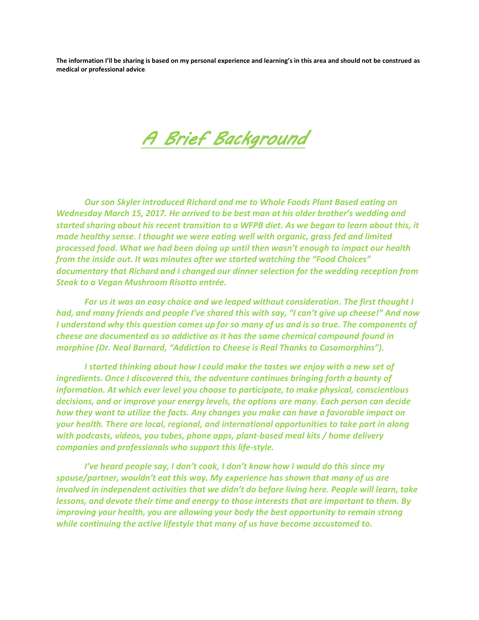**The information I'll be sharing is based on my personal experience and learning's in this area and should not be construed as medical or professional advice***.*

*A Brief Background* 

*Our son Skyler introduced Richard and me to Whole Foods Plant Based eating on Wednesday March 15, 2017. He arrived to be best man at his older brother's wedding and started sharing about his recent transition to a WFPB diet. As we began to learn about this, it made healthy sense. I thought we were eating well with organic, grass fed and limited processed food. What we had been doing up until then wasn't enough to impact our health from the inside out. It was minutes after we started watching the "Food Choices" documentary that Richard and I changed our dinner selection for the wedding reception from Steak to a Vegan Mushroom Risotto entrée.*

*For us it was an easy choice and we leaped without consideration. The first thought I had, and many friends and people I've shared this with say, "I can't give up cheese!" And now I understand why this question comes up for so many of us and is so true. The components of cheese are documented as so addictive as it has the same chemical compound found in morphine (Dr. Neal Barnard, "Addiction to Cheese is Real Thanks to Casomorphins").* 

*I started thinking about how I could make the tastes we enjoy with a new set of ingredients. Once I discovered this, the adventure continues bringing forth a bounty of information. At which ever level you choose to participate, to make physical, conscientious decisions, and or improve your energy levels, the options are many. Each person can decide how they want to utilize the facts. Any changes you make can have a favorable impact on your health. There are local, regional, and international opportunities to take part in along with podcasts, videos, you tubes, phone apps, plant-based meal kits / home delivery companies and professionals who support this life-style.* 

*I've heard people say, I don't cook, I don't know how I would do this since my spouse/partner, wouldn't eat this way. My experience has shown that many of us are involved in independent activities that we didn't do before living here. People will learn, take lessons, and devote their time and energy to those interests that are important to them. By improving your health, you are allowing your body the best opportunity to remain strong while continuing the active lifestyle that many of us have become accustomed to.*